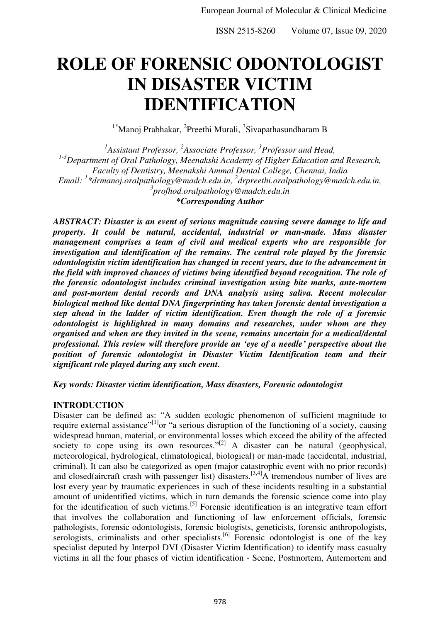# **ROLE OF FORENSIC ODONTOLOGIST IN DISASTER VICTIM IDENTIFICATION**

<sup>1\*</sup>Manoj Prabhakar, <sup>2</sup>Preethi Murali, <sup>3</sup>Sivapathasundharam B

<sup>1</sup> Assistant Professor, <sup>2</sup> Associate Professor, <sup>3</sup> Professor and Head, *1-3Department of Oral Pathology, Meenakshi Academy of Higher Education and Research, Faculty of Dentistry, Meenakshi Ammal Dental College, Chennai, India Email: <sup>1</sup> [\\*drmanoj.oralpathology@madch.edu.in,](mailto:1*drmanoj.oralpathology@madch.edu.in) <sup>2</sup> [drpreethi.oralpathology@madch.edu.in,](mailto:drpreethi.oralpathology@madch.edu.in) 3 profhod.oralpathology@madch.edu.in \*Corresponding Author*

*ABSTRACT: Disaster is an event of serious magnitude causing severe damage to life and property. It could be natural, accidental, industrial or man-made. Mass disaster management comprises a team of civil and medical experts who are responsible for investigation and identification of the remains. The central role played by the forensic odontologistin victim identification has changed in recent years, due to the advancement in the field with improved chances of victims being identified beyond recognition. The role of the forensic odontologist includes criminal investigation using bite marks, ante-mortem and post-mortem dental records and DNA analysis using saliva. Recent molecular biological method like dental DNA fingerprinting has taken forensic dental investigation a step ahead in the ladder of victim identification. Even though the role of a forensic odontologist is highlighted in many domains and researches, under whom are they organised and when are they invited in the scene, remains uncertain for a medical/dental professional. This review will therefore provide an 'eye of a needle' perspective about the position of forensic odontologist in Disaster Victim Identification team and their significant role played during any such event.* 

*Key words: Disaster victim identification, Mass disasters, Forensic odontologist* 

## **INTRODUCTION**

Disaster can be defined as: "A sudden ecologic phenomenon of sufficient magnitude to require external assistance"<sup>[1]</sup>or "a serious disruption of the functioning of a society, causing widespread human, material, or environmental losses which exceed the ability of the affected society to cope using its own resources." $[2]$  A disaster can be natural (geophysical, meteorological, hydrological, climatological, biological) or man‑made (accidental, industrial, criminal). It can also be categorized as open (major catastrophic event with no prior records) and closed(aircraft crash with passenger list) disasters.<sup>[3,4]</sup>A tremendous number of lives are lost every year by traumatic experiences in such of these incidents resulting in a substantial amount of unidentified victims, which in turn demands the forensic science come into play for the identification of such victims.<sup>[5]</sup> Forensic identification is an integrative team effort that involves the collaboration and functioning of law enforcement officials, forensic pathologists, forensic odontologists, forensic biologists, geneticists, forensic anthropologists, serologists, criminalists and other specialists.<sup>[6]</sup> Forensic odontologist is one of the key specialist deputed by Interpol DVI (Disaster Victim Identification) to identify mass casualty victims in all the four phases of victim identification - Scene, Postmortem, Antemortem and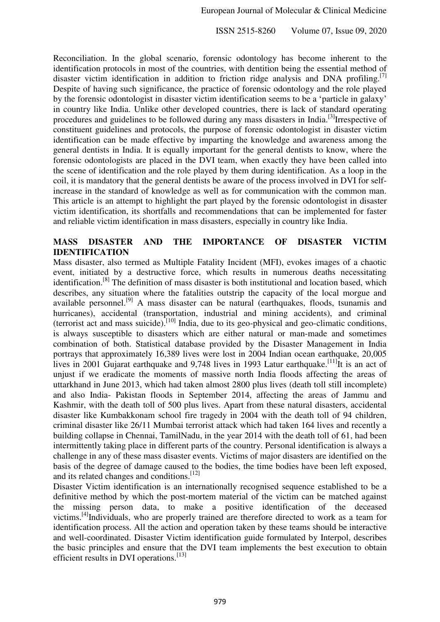Reconciliation. In the global scenario, forensic odontology has become inherent to the identification protocols in most of the countries, with dentition being the essential method of disaster victim identification in addition to friction ridge analysis and DNA profiling.<sup>[7]</sup> Despite of having such significance, the practice of forensic odontology and the role played by the forensic odontologist in disaster victim identification seems to be a 'particle in galaxy' in country like India. Unlike other developed countries, there is lack of standard operating procedures and guidelines to be followed during any mass disasters in India.<sup>[3]</sup>Irrespective of constituent guidelines and protocols, the purpose of forensic odontologist in disaster victim identification can be made effective by imparting the knowledge and awareness among the general dentists in India. It is equally important for the general dentists to know, where the forensic odontologists are placed in the DVI team, when exactly they have been called into the scene of identification and the role played by them during identification. As a loop in the coil, it is mandatory that the general dentists be aware of the process involved in DVI for selfincrease in the standard of knowledge as well as for communication with the common man. This article is an attempt to highlight the part played by the forensic odontologist in disaster victim identification, its shortfalls and recommendations that can be implemented for faster and reliable victim identification in mass disasters, especially in country like India.

## **MASS DISASTER AND THE IMPORTANCE OF DISASTER VICTIM IDENTIFICATION**

Mass disaster, also termed as Multiple Fatality Incident (MFI), evokes images of a chaotic event, initiated by a destructive force, which results in numerous deaths necessitating identification.[8] The definition of mass disaster is both institutional and location based, which describes, any situation where the fatalities outstrip the capacity of the local morgue and available personnel.<sup>[9]</sup> A mass disaster can be natural (earthquakes, floods, tsunamis and hurricanes), accidental (transportation, industrial and mining accidents), and criminal (terrorist act and mass suicide).<sup>[10]</sup> India, due to its geo-physical and geo-climatic conditions, is always susceptible to disasters which are either natural or man-made and sometimes combination of both. Statistical database provided by the Disaster Management in India portrays that approximately 16,389 lives were lost in 2004 Indian ocean earthquake, 20,005 lives in 2001 Gujarat earthquake and 9,748 lives in 1993 Latur earthquake.<sup>[11]</sup>It is an act of unjust if we eradicate the moments of massive north India floods affecting the areas of uttarkhand in June 2013, which had taken almost 2800 plus lives (death toll still incomplete) and also India- Pakistan floods in September 2014, affecting the areas of Jammu and Kashmir, with the death toll of 500 plus lives. Apart from these natural disasters, accidental disaster like Kumbakkonam school fire tragedy in 2004 with the death toll of 94 children, criminal disaster like 26/11 Mumbai terrorist attack which had taken 164 lives and recently a building collapse in Chennai, TamilNadu, in the year 2014 with the death toll of 61, had been intermittently taking place in different parts of the country. Personal identification is always a challenge in any of these mass disaster events. Victims of major disasters are identified on the basis of the degree of damage caused to the bodies, the time bodies have been left exposed, and its related changes and conditions.[12]

Disaster Victim identification is an internationally recognised sequence established to be a definitive method by which the post-mortem material of the victim can be matched against the missing person data, to make a positive identification of the deceased victims.[4]Individuals, who are properly trained are therefore directed to work as a team for identification process. All the action and operation taken by these teams should be interactive and well-coordinated. Disaster Victim identification guide formulated by Interpol, describes the basic principles and ensure that the DVI team implements the best execution to obtain efficient results in DVI operations.<sup>[13]</sup>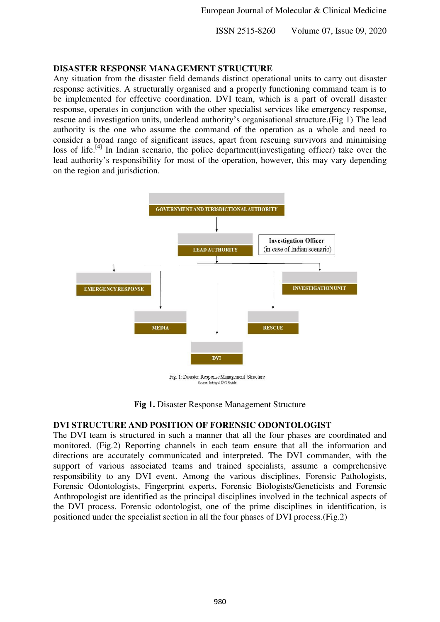#### **DISASTER RESPONSE MANAGEMENT STRUCTURE**

Any situation from the disaster field demands distinct operational units to carry out disaster response activities. A structurally organised and a properly functioning command team is to be implemented for effective coordination. DVI team, which is a part of overall disaster response, operates in conjunction with the other specialist services like emergency response, rescue and investigation units, underlead authority's organisational structure.(Fig 1) The lead authority is the one who assume the command of the operation as a whole and need to consider a broad range of significant issues, apart from rescuing survivors and minimising loss of life.<sup>[4]</sup> In Indian scenario, the police department(investigating officer) take over the lead authority's responsibility for most of the operation, however, this may vary depending on the region and jurisdiction.



**Fig 1.** Disaster Response Management Structure

## **DVI STRUCTURE AND POSITION OF FORENSIC ODONTOLOGIST**

The DVI team is structured in such a manner that all the four phases are coordinated and monitored. (Fig.2) Reporting channels in each team ensure that all the information and directions are accurately communicated and interpreted. The DVI commander, with the support of various associated teams and trained specialists, assume a comprehensive responsibility to any DVI event. Among the various disciplines, Forensic Pathologists, Forensic Odontologists, Fingerprint experts, Forensic Biologists/Geneticists and Forensic Anthropologist are identified as the principal disciplines involved in the technical aspects of the DVI process. Forensic odontologist, one of the prime disciplines in identification, is positioned under the specialist section in all the four phases of DVI process.(Fig.2)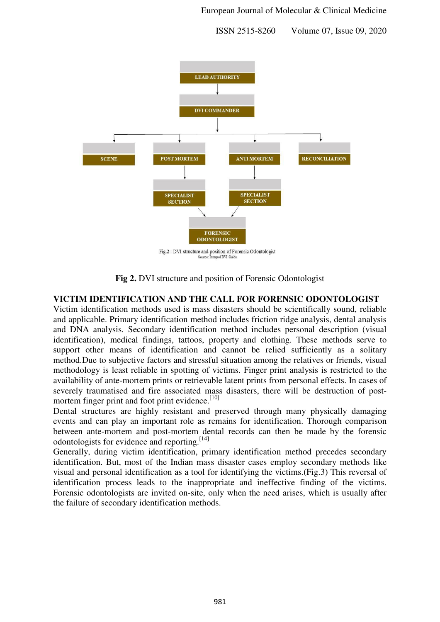

Fig.2: DVI structure and position of Forensic Odontologist Source: Interpol DVI Guid

**Fig 2.** DVI structure and position of Forensic Odontologist

## **VICTIM IDENTIFICATION AND THE CALL FOR FORENSIC ODONTOLOGIST**

Victim identification methods used is mass disasters should be scientifically sound, reliable and applicable. Primary identification method includes friction ridge analysis, dental analysis and DNA analysis. Secondary identification method includes personal description (visual identification), medical findings, tattoos, property and clothing. These methods serve to support other means of identification and cannot be relied sufficiently as a solitary method.Due to subjective factors and stressful situation among the relatives or friends, visual methodology is least reliable in spotting of victims. Finger print analysis is restricted to the availability of ante-mortem prints or retrievable latent prints from personal effects. In cases of severely traumatised and fire associated mass disasters, there will be destruction of postmortem finger print and foot print evidence.<sup>[10]</sup>

Dental structures are highly resistant and preserved through many physically damaging events and can play an important role as remains for identification. Thorough comparison between ante-mortem and post-mortem dental records can then be made by the forensic odontologists for evidence and reporting.<sup>[14]</sup>

Generally, during victim identification, primary identification method precedes secondary identification. But, most of the Indian mass disaster cases employ secondary methods like visual and personal identification as a tool for identifying the victims.(Fig.3) This reversal of identification process leads to the inappropriate and ineffective finding of the victims. Forensic odontologists are invited on-site, only when the need arises, which is usually after the failure of secondary identification methods.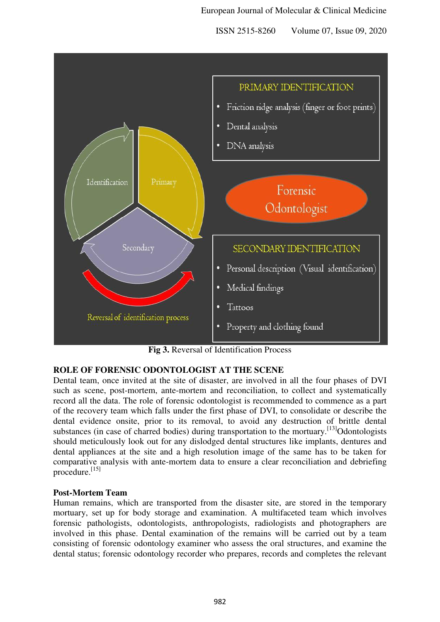

**Fig 3.** Reversal of Identification Process

## **ROLE OF FORENSIC ODONTOLOGIST AT THE SCENE**

Dental team, once invited at the site of disaster, are involved in all the four phases of DVI such as scene, post-mortem, ante-mortem and reconciliation, to collect and systematically record all the data. The role of forensic odontologist is recommended to commence as a part of the recovery team which falls under the first phase of DVI, to consolidate or describe the dental evidence onsite, prior to its removal, to avoid any destruction of brittle dental substances (in case of charred bodies) during transportation to the mortuary.<sup>[13]</sup>Odontologists should meticulously look out for any dislodged dental structures like implants, dentures and dental appliances at the site and a high resolution image of the same has to be taken for comparative analysis with ante-mortem data to ensure a clear reconciliation and debriefing procedure.<sup>[15]</sup>

## **Post-Mortem Team**

Human remains, which are transported from the disaster site, are stored in the temporary mortuary, set up for body storage and examination. A multifaceted team which involves forensic pathologists, odontologists, anthropologists, radiologists and photographers are involved in this phase. Dental examination of the remains will be carried out by a team consisting of forensic odontology examiner who assess the oral structures, and examine the dental status; forensic odontology recorder who prepares, records and completes the relevant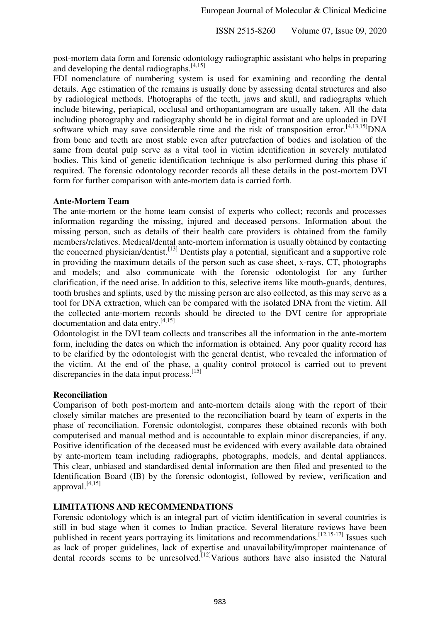post-mortem data form and forensic odontology radiographic assistant who helps in preparing and developing the dental radiographs.<sup>[4,15]</sup>

FDI nomenclature of numbering system is used for examining and recording the dental details. Age estimation of the remains is usually done by assessing dental structures and also by radiological methods. Photographs of the teeth, jaws and skull, and radiographs which include bitewing, periapical, occlusal and orthopantamogram are usually taken. All the data including photography and radiography should be in digital format and are uploaded in DVI software which may save considerable time and the risk of transposition error.<sup>[4,13,15]</sup>DNA from bone and teeth are most stable even after putrefaction of bodies and isolation of the same from dental pulp serve as a vital tool in victim identification in severely mutilated bodies. This kind of genetic identification technique is also performed during this phase if required. The forensic odontology recorder records all these details in the post-mortem DVI form for further comparison with ante-mortem data is carried forth.

#### **Ante-Mortem Team**

The ante-mortem or the home team consist of experts who collect; records and processes information regarding the missing, injured and deceased persons. Information about the missing person, such as details of their health care providers is obtained from the family members/relatives. Medical/dental ante-mortem information is usually obtained by contacting the concerned physician/dentist.[13] Dentists play a potential, significant and a supportive role in providing the maximum details of the person such as case sheet, x-rays, CT, photographs and models; and also communicate with the forensic odontologist for any further clarification, if the need arise. In addition to this, selective items like mouth-guards, dentures, tooth brushes and splints, used by the missing person are also collected, as this may serve as a tool for DNA extraction, which can be compared with the isolated DNA from the victim. All the collected ante-mortem records should be directed to the DVI centre for appropriate documentation and data entry.[4,15]

Odontologist in the DVI team collects and transcribes all the information in the ante-mortem form, including the dates on which the information is obtained. Any poor quality record has to be clarified by the odontologist with the general dentist, who revealed the information of the victim. At the end of the phase, a quality control protocol is carried out to prevent discrepancies in the data input process.<sup>[15]</sup>

## **Reconciliation**

Comparison of both post-mortem and ante-mortem details along with the report of their closely similar matches are presented to the reconciliation board by team of experts in the phase of reconciliation. Forensic odontologist, compares these obtained records with both computerised and manual method and is accountable to explain minor discrepancies, if any. Positive identification of the deceased must be evidenced with every available data obtained by ante-mortem team including radiographs, photographs, models, and dental appliances. This clear, unbiased and standardised dental information are then filed and presented to the Identification Board (IB) by the forensic odontogist, followed by review, verification and approval.[4,15]

## **LIMITATIONS AND RECOMMENDATIONS**

Forensic odontology which is an integral part of victim identification in several countries is still in bud stage when it comes to Indian practice. Several literature reviews have been published in recent years portraying its limitations and recommendations.<sup>[12,15-17]</sup> Issues such as lack of proper guidelines, lack of expertise and unavailability/improper maintenance of dental records seems to be unresolved.<sup>[12]</sup>Various authors have also insisted the Natural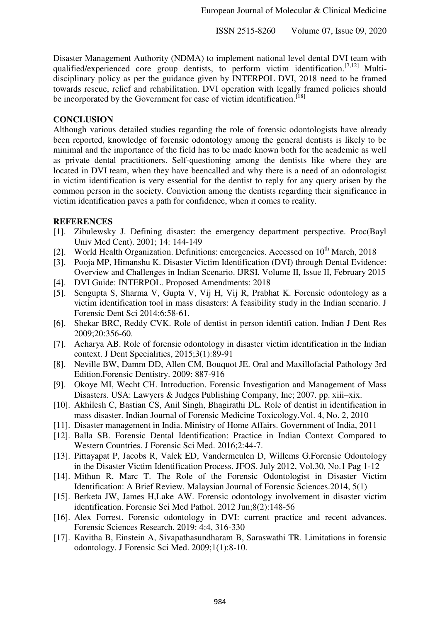Disaster Management Authority (NDMA) to implement national level dental DVI team with qualified/experienced core group dentists, to perform victim identification.[7,12] Multidisciplinary policy as per the guidance given by INTERPOL DVI, 2018 need to be framed towards rescue, relief and rehabilitation. DVI operation with legally framed policies should be incorporated by the Government for ease of victim identification.<sup>[18]</sup>

#### **CONCLUSION**

Although various detailed studies regarding the role of forensic odontologists have already been reported, knowledge of forensic odontology among the general dentists is likely to be minimal and the importance of the field has to be made known both for the academic as well as private dental practitioners. Self-questioning among the dentists like where they are located in DVI team, when they have beencalled and why there is a need of an odontologist in victim identification is very essential for the dentist to reply for any query arisen by the common person in the society. Conviction among the dentists regarding their significance in victim identification paves a path for confidence, when it comes to reality.

## **REFERENCES**

- [1]. Zibulewsky J. Defining disaster: the emergency department perspective. Proc(Bayl Univ Med Cent). 2001; 14: 144-149
- [2]. World Health Organization. Definitions: emergencies. Accessed on  $10<sup>th</sup>$  March, 2018
- [3]. Pooja MP, Himanshu K. Disaster Victim Identification (DVI) through Dental Evidence: Overview and Challenges in Indian Scenario. IJRSI. Volume II, Issue II, February 2015
- [4]. DVI Guide: INTERPOL. Proposed Amendments: 2018
- [5]. Sengupta S, Sharma V, Gupta V, Vij H, Vij R, Prabhat K. Forensic odontology as a victim identification tool in mass disasters: A feasibility study in the Indian scenario. J Forensic Dent Sci 2014;6:58-61.
- [6]. Shekar BRC, Reddy CVK. Role of dentist in person identifi cation. Indian J Dent Res 2009;20:356-60.
- [7]. Acharya AB. Role of forensic odontology in disaster victim identification in the Indian context. J Dent Specialities, 2015;3(1):89-91
- [8]. Neville BW, Damm DD, Allen CM, Bouquot JE. Oral and Maxillofacial Pathology 3rd Edition.Forensic Dentistry. 2009: 887-916
- [9]. Okoye MI, Wecht CH. Introduction. Forensic Investigation and Management of Mass Disasters. USA: Lawyers & Judges Publishing Company, Inc; 2007. pp. xiii–xix.
- [10]. Akhilesh C, Bastian CS, Anil Singh, Bhagirathi DL. Role of dentist in identification in mass disaster. Indian Journal of Forensic Medicine Toxicology.Vol. 4, No. 2, 2010
- [11]. Disaster management in India. Ministry of Home Affairs. Government of India, 2011
- [12]. Balla SB. Forensic Dental Identification: Practice in Indian Context Compared to Western Countries. J Forensic Sci Med. 2016;2:44-7.
- [13]. Pittayapat P, Jacobs R, Valck ED, Vandermeulen D, Willems G.Forensic Odontology in the Disaster Victim Identification Process. JFOS. July 2012, Vol.30, No.1 Pag 1-12
- [14]. Mithun R, Marc T. The Role of the Forensic Odontologist in Disaster Victim Identification: A Brief Review. Malaysian Journal of Forensic Sciences.2014, 5(1)
- [15]. Berketa JW, James H,Lake AW. Forensic odontology involvement in disaster victim identification. Forensic Sci Med Pathol. 2012 Jun;8(2):148-56
- [16]. Alex Forrest. Forensic odontology in DVI: current practice and recent advances. Forensic Sciences Research. 2019: 4:4, 316-330
- [17]. Kavitha B, Einstein A, Sivapathasundharam B, Saraswathi TR. Limitations in forensic odontology. J Forensic Sci Med. 2009;1(1):8-10.